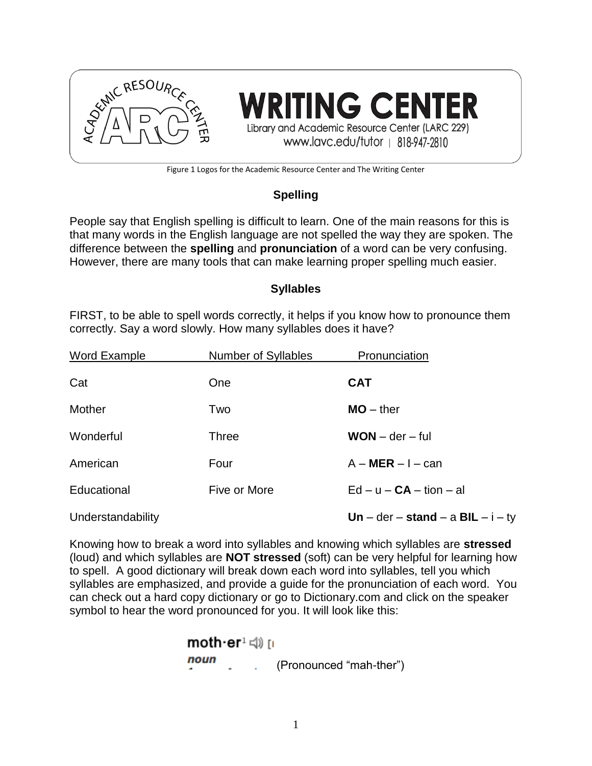

**TING CENTER** Library and Academic Resource Center (LARC 229) www.lavc.edu/tutor | 818-947-2810

Figure 1 Logos for the Academic Resource Center and The Writing Center

## **Spelling**

People say that English spelling is difficult to learn. One of the main reasons for this is that many words in the English language are not spelled the way they are spoken. The difference between the **spelling** and **pronunciation** of a word can be very confusing. However, there are many tools that can make learning proper spelling much easier.

### **Syllables**

FIRST, to be able to spell words correctly, it helps if you know how to pronounce them correctly. Say a word slowly. How many syllables does it have?

| Word Example      | <b>Number of Syllables</b> | Pronunciation                       |
|-------------------|----------------------------|-------------------------------------|
| Cat               | One                        | <b>CAT</b>                          |
| Mother            | Two                        | $MO -$ ther                         |
| Wonderful         | Three                      | $WON - der - ful$                   |
| American          | Four                       | $A - MER - I - can$                 |
| Educational       | Five or More               | $Ed - u - CA - tion - al$           |
| Understandability |                            | Un – der – stand – a BIL – $i - ty$ |

Knowing how to break a word into syllables and knowing which syllables are **stressed** (loud) and which syllables are **NOT stressed** (soft) can be very helpful for learning how to spell. A good dictionary will break down each word into syllables, tell you which syllables are emphasized, and provide a guide for the pronunciation of each word. You can check out a hard copy dictionary or go to Dictionary.com and click on the speaker symbol to hear the word pronounced for you. It will look like this:

(Pronounced "mah-ther")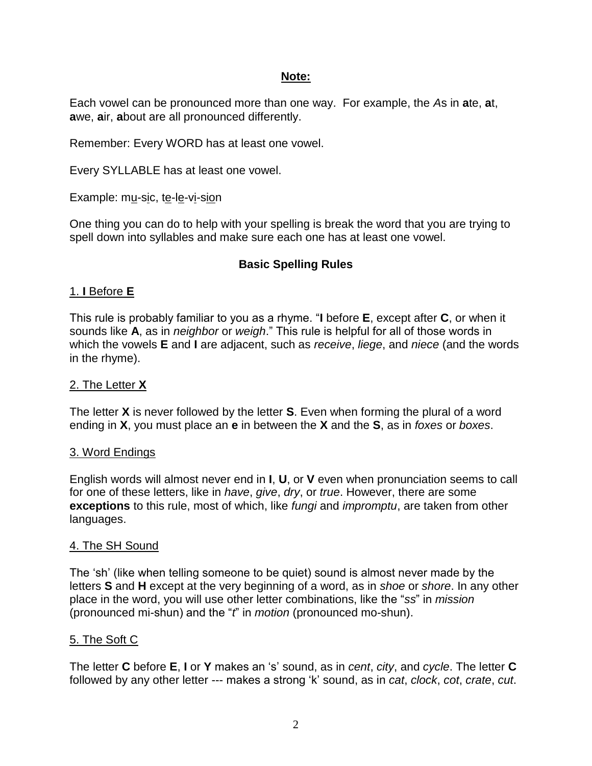### **Note:**

Each vowel can be pronounced more than one way. For example, the *A*s in **a**te, **a**t, **a**we, **a**ir, **a**bout are all pronounced differently.

Remember: Every WORD has at least one vowel.

Every SYLLABLE has at least one vowel.

Example: mu-sic, te-le-vi-sion

One thing you can do to help with your spelling is break the word that you are trying to spell down into syllables and make sure each one has at least one vowel.

## **Basic Spelling Rules**

## 1. **I** Before **E**

This rule is probably familiar to you as a rhyme. "**I** before **E**, except after **C**, or when it sounds like **A**, as in *neighbor* or *weigh*." This rule is helpful for all of those words in which the vowels **E** and **I** are adjacent, such as *receive*, *liege*, and *niece* (and the words in the rhyme).

### 2. The Letter **X**

The letter **X** is never followed by the letter **S**. Even when forming the plural of a word ending in **X**, you must place an **e** in between the **X** and the **S**, as in *foxes* or *boxes*.

### 3. Word Endings

English words will almost never end in **I**, **U**, or **V** even when pronunciation seems to call for one of these letters, like in *have*, *give*, *dry*, or *true*. However, there are some **exceptions** to this rule, most of which, like *fungi* and *impromptu*, are taken from other languages.

### 4. The SH Sound

The 'sh' (like when telling someone to be quiet) sound is almost never made by the letters **S** and **H** except at the very beginning of a word, as in *shoe* or *shore*. In any other place in the word, you will use other letter combinations, like the "*ss*" in *mission* (pronounced mi-shun) and the "*t*" in *motion* (pronounced mo-shun).

### 5. The Soft C

The letter **C** before **E**, **I** or **Y** makes an 's' sound, as in *cent*, *city*, and *cycle*. The letter **C** followed by any other letter --- makes a strong 'k' sound, as in *cat*, *clock*, *cot*, *crate*, *cut*.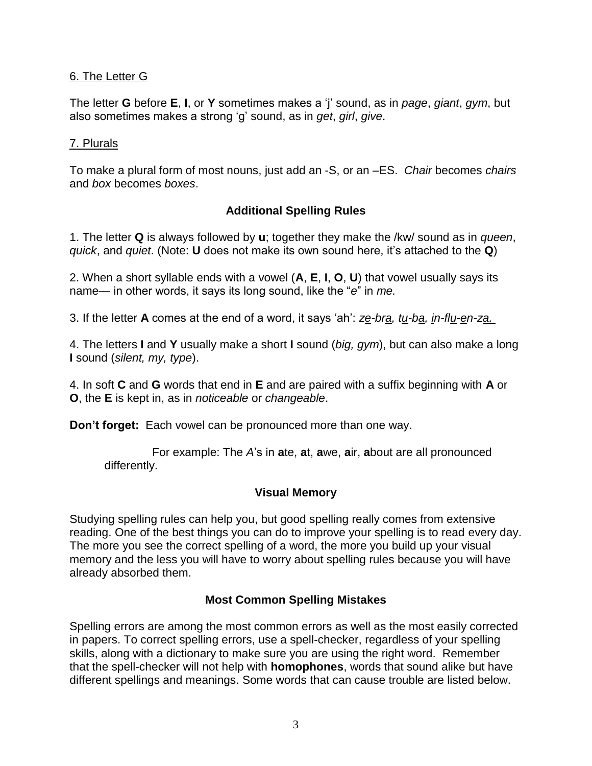## 6. The Letter G

The letter **G** before **E**, **I**, or **Y** sometimes makes a 'j' sound, as in *page*, *giant*, *gym*, but also sometimes makes a strong 'g' sound, as in *get*, *girl*, *give*.

## 7. Plurals

To make a plural form of most nouns, just add an -S, or an –ES. *Chair* becomes *chairs* and *box* becomes *boxes*.

# **Additional Spelling Rules**

1. The letter **Q** is always followed by **u**; together they make the /kw/ sound as in *queen*, *quick*, and *quiet*. (Note: **U** does not make its own sound here, it's attached to the **Q**)

2. When a short syllable ends with a vowel (**A**, **E**, **I**, **O**, **U**) that vowel usually says its name— in other words, it says its long sound, like the "*e*" in *me.*

3. If the letter **A** comes at the end of a word, it says 'ah': *ze-bra, tu-ba, in-flu-en-za.* 

4. The letters **I** and **Y** usually make a short **I** sound (*big, gym*), but can also make a long **I** sound (*silent, my, type*).

4. In soft **C** and **G** words that end in **E** and are paired with a suffix beginning with **A** or **O**, the **E** is kept in, as in *noticeable* or *changeable*.

**Don't forget:** Each vowel can be pronounced more than one way.

 For example: The *A*'s in **a**te, **a**t, **a**we, **a**ir, **a**bout are all pronounced differently.

## **Visual Memory**

Studying spelling rules can help you, but good spelling really comes from extensive reading. One of the best things you can do to improve your spelling is to read every day. The more you see the correct spelling of a word, the more you build up your visual memory and the less you will have to worry about spelling rules because you will have already absorbed them.

## **Most Common Spelling Mistakes**

Spelling errors are among the most common errors as well as the most easily corrected in papers. To correct spelling errors, use a spell-checker, regardless of your spelling skills, along with a dictionary to make sure you are using the right word. Remember that the spell-checker will not help with **homophones**, words that sound alike but have different spellings and meanings. Some words that can cause trouble are listed below.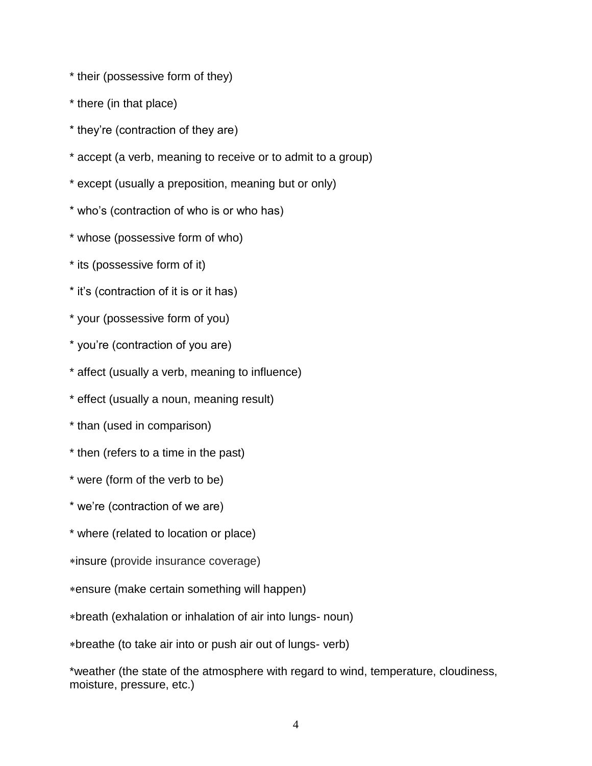- \* their (possessive form of they)
- \* there (in that place)
- \* they're (contraction of they are)
- \* accept (a verb, meaning to receive or to admit to a group)
- \* except (usually a preposition, meaning but or only)
- \* who's (contraction of who is or who has)
- \* whose (possessive form of who)
- \* its (possessive form of it)
- \* it's (contraction of it is or it has)
- \* your (possessive form of you)
- \* you're (contraction of you are)
- \* affect (usually a verb, meaning to influence)
- \* effect (usually a noun, meaning result)
- \* than (used in comparison)
- \* then (refers to a time in the past)
- \* were (form of the verb to be)
- \* we're (contraction of we are)
- \* where (related to location or place)
- insure (provide insurance coverage)
- ensure (make certain something will happen)
- breath (exhalation or inhalation of air into lungs- noun)
- breathe (to take air into or push air out of lungs- verb)

\*weather (the state of the atmosphere with regard to wind, temperature, cloudiness, moisture, pressure, etc.)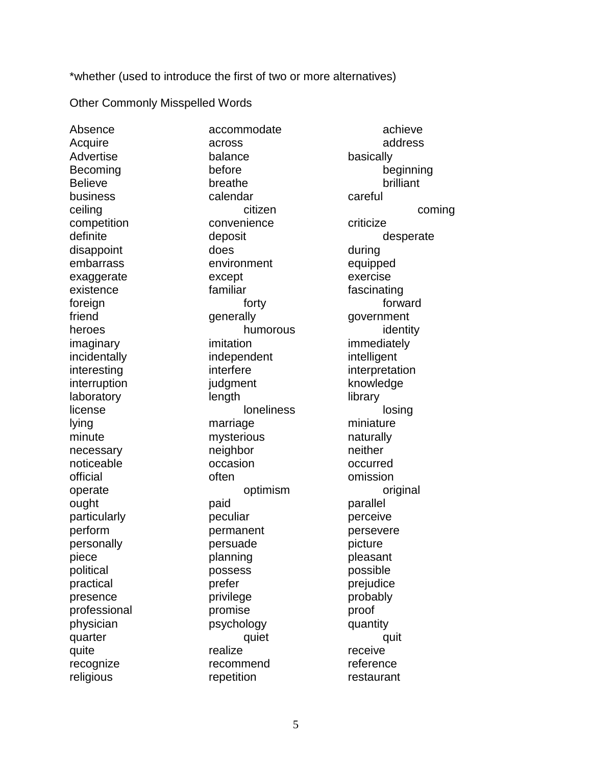\*whether (used to introduce the first of two or more alternatives)

Other Commonly Misspelled Words

Advertise balance basically Believe breathe breathe brilliant business calendar careful competition convenience criticize disappoint does does during embarrass environment equipped exaggerate except exercise existence familiar fascinating foreign **the contract of the contract of the contract of the contract of the contract of the contract of the contract of the contract of the contract of the contract of the contract of the contract of the contract of the c** friend generally generally government heroes humorous humorous identity imaginary imitation immediately incidentally independent intelligent interesting interfere interpretation interruption interruption judgment knowledge laboratory length library license loneliness loneliness losing lying marriage marriage miniature minute mysterious naturally necessary neighbor neighbor neither noticeable **occasion** occurred official often omission operate operate optimism original ought paid paid parallel particularly **peculiar** peculiar **perceive** perform permanent persevere personally **persuade** persuade picture piece planning pleasant political possess possible practical prefer prefer prejudice presence privilege probably professional promise proof physician psychology quantity quarter quiet quiet quit quite and realize receive recognize recommend reference religious repetition restaurant

Absence accommodate achieve Acquire across and across address Becoming before beginning ceiling coming community community community community community community community community community commu definite deposit deposit desperate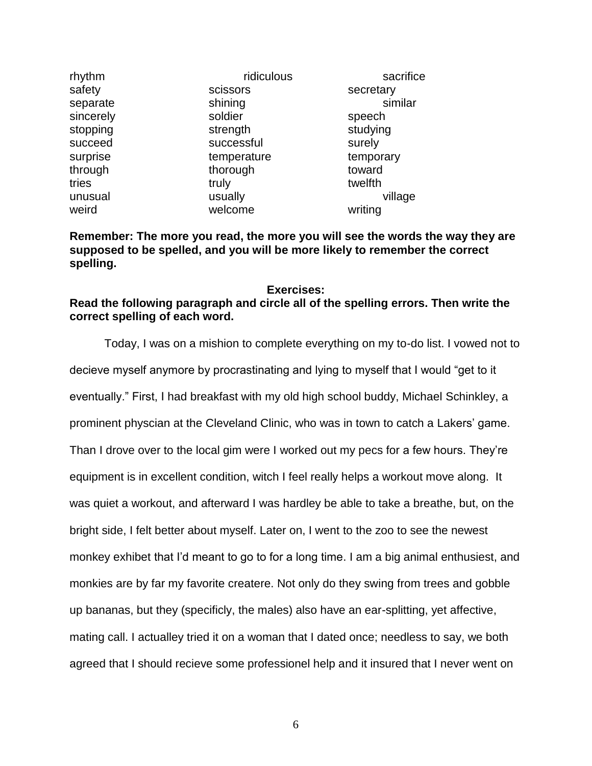| ridiculous  | sacrifice |
|-------------|-----------|
| scissors    | secretary |
| shining     | similar   |
| soldier     | speech    |
| strength    | studying  |
| successful  | surely    |
| temperature | temporary |
| thorough    | toward    |
| truly       | twelfth   |
| usually     | village   |
| welcome     | writing   |
|             |           |

**Remember: The more you read, the more you will see the words the way they are supposed to be spelled, and you will be more likely to remember the correct spelling.**

### **Exercises: Read the following paragraph and circle all of the spelling errors. Then write the correct spelling of each word.**

Today, I was on a mishion to complete everything on my to-do list. I vowed not to decieve myself anymore by procrastinating and lying to myself that I would "get to it eventually." First, I had breakfast with my old high school buddy, Michael Schinkley, a prominent physcian at the Cleveland Clinic, who was in town to catch a Lakers' game. Than I drove over to the local gim were I worked out my pecs for a few hours. They're equipment is in excellent condition, witch I feel really helps a workout move along. It was quiet a workout, and afterward I was hardley be able to take a breathe, but, on the bright side, I felt better about myself. Later on, I went to the zoo to see the newest monkey exhibet that I'd meant to go to for a long time. I am a big animal enthusiest, and monkies are by far my favorite createre. Not only do they swing from trees and gobble up bananas, but they (specificly, the males) also have an ear-splitting, yet affective, mating call. I actualley tried it on a woman that I dated once; needless to say, we both agreed that I should recieve some professionel help and it insured that I never went on